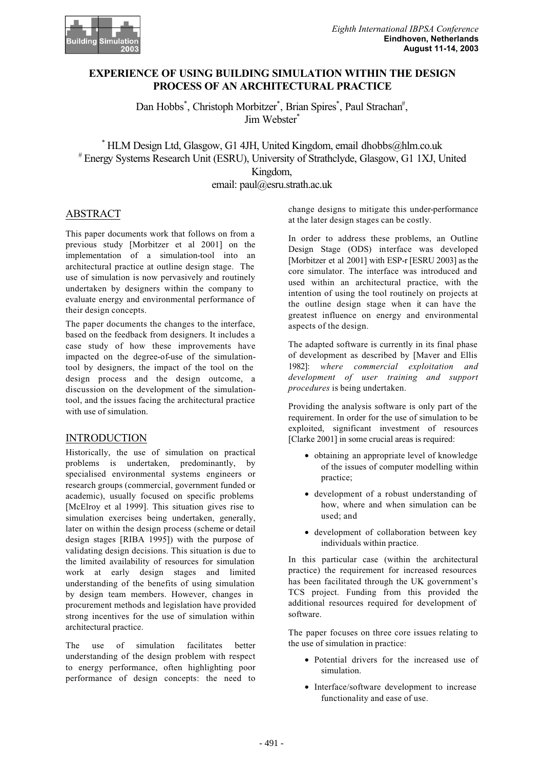

## **EXPERIENCE OF USING BUILDING SIMULATION WITHIN THE DESIGN PROCESS OF AN ARCHITECTURAL PRACTICE**

Dan Hobbs\*, Christoph Morbitzer\*, Brian Spires\*, Paul Strachan#, Jim Webster\*

\* HLM Design Ltd, Glasgow, G1 4JH, United Kingdom, email dhobbs@hlm.co.uk # Energy Systems Research Unit (ESRU), University of Strathclyde, Glasgow, G1 1XJ, United Kingdom,

email: paul@esru.strath.ac.uk

# ABSTRACT

This paper documents work that follows on from a previous study [Morbitzer et al 2001] on the implementation of a simulation-tool into an architectural practice at outline design stage. The use of simulation is now pervasively and routinely undertaken by designers within the company to evaluate energy and environmental performance of their design concepts.

The paper documents the changes to the interface, based on the feedback from designers. It includes a case study of how these improvements have impacted on the degree-of-use of the simulationtool by designers, the impact of the tool on the design process and the design outcome, a discussion on the development of the simulationtool, and the issues facing the architectural practice with use of simulation.

### INTRODUCTION

Historically, the use of simulation on practical problems is undertaken, predominantly, by specialised environmental systems engineers or research groups (commercial, government funded or academic), usually focused on specific problems [McElroy et al 1999]. This situation gives rise to simulation exercises being undertaken, generally, later on within the design process (scheme or detail design stages [RIBA 1995]) with the purpose of validating design decisions. This situation is due to the limited availability of resources for simulation work at early design stages and limited understanding of the benefits of using simulation by design team members. However, changes in procurement methods and legislation have provided strong incentives for the use of simulation within architectural practice.

The use of simulation facilitates better understanding of the design problem with respect to energy performance, often highlighting poor performance of design concepts: the need to change designs to mitigate this under-performance at the later design stages can be costly.

In order to address these problems, an Outline Design Stage (ODS) interface was developed [Morbitzer et al 2001] with ESP-r [ESRU 2003] as the core simulator. The interface was introduced and used within an architectural practice, with the intention of using the tool routinely on projects at the outline design stage when it can have the greatest influence on energy and environmental aspects of the design.

The adapted software is currently in its final phase of development as described by [Maver and Ellis 1982]: *where commercial exploitation and development of user training and support procedures* is being undertaken.

Providing the analysis software is only part of the requirement. In order for the use of simulation to be exploited, significant investment of resources [Clarke 2001] in some crucial areas is required:

- obtaining an appropriate level of knowledge of the issues of computer modelling within practice;
- development of a robust understanding of how, where and when simulation can be used; and
- development of collaboration between key individuals within practice.

In this particular case (within the architectural practice) the requirement for increased resources has been facilitated through the UK government's TCS project. Funding from this provided the additional resources required for development of software.

The paper focuses on three core issues relating to the use of simulation in practice:

- Potential drivers for the increased use of simulation.
- Interface/software development to increase functionality and ease of use.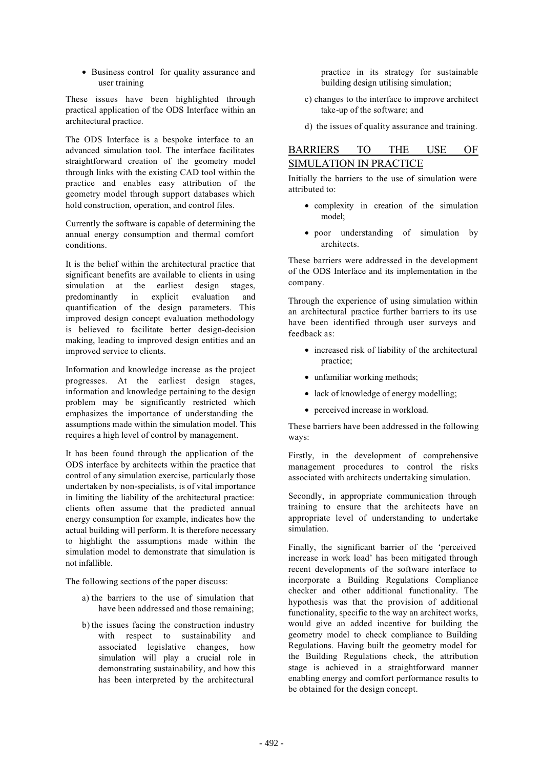• Business control for quality assurance and user training

These issues have been highlighted through practical application of the ODS Interface within an architectural practice.

The ODS Interface is a bespoke interface to an advanced simulation tool. The interface facilitates straightforward creation of the geometry model through links with the existing CAD tool within the practice and enables easy attribution of the geometry model through support databases which hold construction, operation, and control files.

Currently the software is capable of determining the annual energy consumption and thermal comfort conditions.

It is the belief within the architectural practice that significant benefits are available to clients in using simulation at the earliest design stages, predominantly in explicit evaluation and quantification of the design parameters. This improved design concept evaluation methodology is believed to facilitate better design-decision making, leading to improved design entities and an improved service to clients.

Information and knowledge increase as the project progresses. At the earliest design stages, information and knowledge pertaining to the design problem may be significantly restricted which emphasizes the importance of understanding the assumptions made within the simulation model. This requires a high level of control by management.

It has been found through the application of the ODS interface by architects within the practice that control of any simulation exercise, particularly those undertaken by non-specialists, is of vital importance in limiting the liability of the architectural practice: clients often assume that the predicted annual energy consumption for example, indicates how the actual building will perform. It is therefore necessary to highlight the assumptions made within the simulation model to demonstrate that simulation is not infallible.

The following sections of the paper discuss:

- a) the barriers to the use of simulation that have been addressed and those remaining;
- b) the issues facing the construction industry with respect to sustainability and associated legislative changes, how simulation will play a crucial role in demonstrating sustainability, and how this has been interpreted by the architectural

practice in its strategy for sustainable building design utilising simulation;

- c) changes to the interface to improve architect take-up of the software; and
- d) the issues of quality assurance and training.

# BARRIERS TO THE USE OF SIMULATION IN PRACTICE

Initially the barriers to the use of simulation were attributed to:

- complexity in creation of the simulation model;
- poor understanding of simulation by architects.

These barriers were addressed in the development of the ODS Interface and its implementation in the company.

Through the experience of using simulation within an architectural practice further barriers to its use have been identified through user surveys and feedback as:

- increased risk of liability of the architectural practice;
- unfamiliar working methods;
- lack of knowledge of energy modelling;
- perceived increase in workload.

These barriers have been addressed in the following ways:

Firstly, in the development of comprehensive management procedures to control the risks associated with architects undertaking simulation.

Secondly, in appropriate communication through training to ensure that the architects have an appropriate level of understanding to undertake simulation.

Finally, the significant barrier of the 'perceived increase in work load' has been mitigated through recent developments of the software interface to incorporate a Building Regulations Compliance checker and other additional functionality. The hypothesis was that the provision of additional functionality, specific to the way an architect works, would give an added incentive for building the geometry model to check compliance to Building Regulations. Having built the geometry model for the Building Regulations check, the attribution stage is achieved in a straightforward manner enabling energy and comfort performance results to be obtained for the design concept.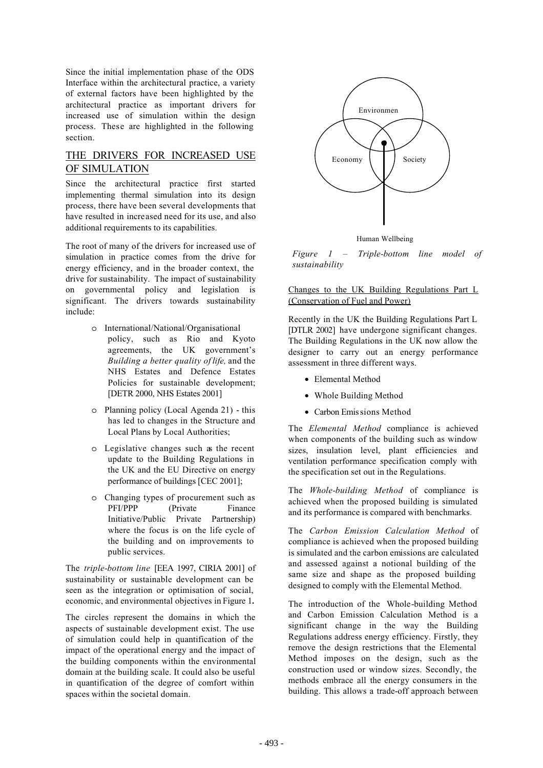Since the initial implementation phase of the ODS Interface within the architectural practice, a variety of external factors have been highlighted by the architectural practice as important drivers for increased use of simulation within the design process. These are highlighted in the following section.

# THE DRIVERS FOR INCREASED USE OF SIMULATION

Since the architectural practice first started implementing thermal simulation into its design process, there have been several developments that have resulted in increased need for its use, and also additional requirements to its capabilities.

The root of many of the drivers for increased use of simulation in practice comes from the drive for energy efficiency, and in the broader context, the drive for sustainability. The impact of sustainability on governmental policy and legislation is significant. The drivers towards sustainability include:

- o International/National/Organisational policy, such as Rio and Kyoto agreements, the UK government's *Building a better quality of life,* and the NHS Estates and Defence Estates Policies for sustainable development; [DETR 2000, NHS Estates 2001]
- o Planning policy (Local Agenda 21) this has led to changes in the Structure and Local Plans by Local Authorities;
- o Legislative changes such as the recent update to the Building Regulations in the UK and the EU Directive on energy performance of buildings [CEC 2001];
- o Changing types of procurement such as PFI/PPP (Private Finance Initiative/Public Private Partnership) where the focus is on the life cycle of the building and on improvements to public services.

The *triple-bottom line* [EEA 1997, CIRIA 2001] of sustainability or sustainable development can be seen as the integration or optimisation of social, economic, and environmental objectives in Figure 1**.**

The circles represent the domains in which the aspects of sustainable development exist. The use of simulation could help in quantification of the impact of the operational energy and the impact of the building components within the environmental domain at the building scale. It could also be useful in quantification of the degree of comfort within spaces within the societal domain.



Human Wellbeing

*Figure 1 – Triple-bottom line model of sustainability*

Changes to the UK Building Regulations Part L (Conservation of Fuel and Power)

Recently in the UK the Building Regulations Part L [DTLR 2002] have undergone significant changes. The Building Regulations in the UK now allow the designer to carry out an energy performance assessment in three different ways.

- Elemental Method
- Whole Building Method
- Carbon Emissions Method

The *Elemental Method* compliance is achieved when components of the building such as window sizes, insulation level, plant efficiencies and ventilation performance specification comply with the specification set out in the Regulations.

The *Whole-building Method* of compliance is achieved when the proposed building is simulated and its performance is compared with benchmarks.

The *Carbon Emission Calculation Method* of compliance is achieved when the proposed building is simulated and the carbon emissions are calculated and assessed against a notional building of the same size and shape as the proposed building designed to comply with the Elemental Method.

The introduction of the Whole-building Method and Carbon Emission Calculation Method is a significant change in the way the Building Regulations address energy efficiency. Firstly, they remove the design restrictions that the Elemental Method imposes on the design, such as the construction used or window sizes. Secondly, the methods embrace all the energy consumers in the building. This allows a trade-off approach between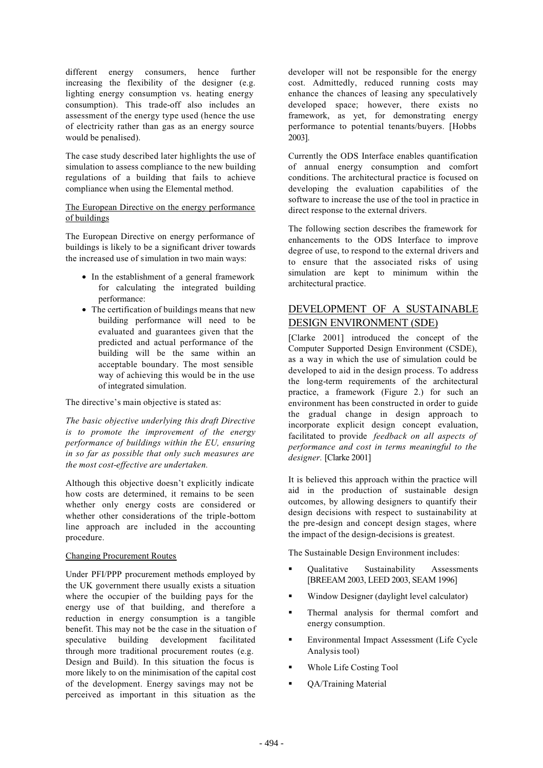different energy consumers, hence further increasing the flexibility of the designer (e.g. lighting energy consumption vs. heating energy consumption). This trade-off also includes an assessment of the energy type used (hence the use of electricity rather than gas as an energy source would be penalised).

The case study described later highlights the use of simulation to assess compliance to the new building regulations of a building that fails to achieve compliance when using the Elemental method.

The European Directive on the energy performance of buildings

The European Directive on energy performance of buildings is likely to be a significant driver towards the increased use of simulation in two main ways:

- In the establishment of a general framework for calculating the integrated building performance:
- The certification of buildings means that new building performance will need to be evaluated and guarantees given that the predicted and actual performance of the building will be the same within an acceptable boundary. The most sensible way of achieving this would be in the use of integrated simulation.

The directive's main objective is stated as:

*The basic objective underlying this draft Directive is to promote the improvement of the energy performance of buildings within the EU, ensuring in so far as possible that only such measures are the most cost-effective are undertaken.*

Although this objective doesn't explicitly indicate how costs are determined, it remains to be seen whether only energy costs are considered or whether other considerations of the triple-bottom line approach are included in the accounting procedure.

#### Changing Procurement Routes

Under PFI/PPP procurement methods employed by the UK government there usually exists a situation where the occupier of the building pays for the energy use of that building, and therefore a reduction in energy consumption is a tangible benefit. This may not be the case in the situation of speculative building development facilitated through more traditional procurement routes (e.g. Design and Build). In this situation the focus is more likely to on the minimisation of the capital cost of the development. Energy savings may not be perceived as important in this situation as the

developer will not be responsible for the energy cost. Admittedly, reduced running costs may enhance the chances of leasing any speculatively developed space; however, there exists no framework, as yet, for demonstrating energy performance to potential tenants/buyers. [Hobbs 2003].

Currently the ODS Interface enables quantification of annual energy consumption and comfort conditions. The architectural practice is focused on developing the evaluation capabilities of the software to increase the use of the tool in practice in direct response to the external drivers.

The following section describes the framework for enhancements to the ODS Interface to improve degree of use, to respond to the external drivers and to ensure that the associated risks of using simulation are kept to minimum within the architectural practice.

# DEVELOPMENT OF A SUSTAINABLE DESIGN ENVIRONMENT (SDE)

[Clarke 2001] introduced the concept of the Computer Supported Design Environment (CSDE), as a way in which the use of simulation could be developed to aid in the design process. To address the long-term requirements of the architectural practice, a framework (Figure 2.) for such an environment has been constructed in order to guide the gradual change in design approach to incorporate explicit design concept evaluation, facilitated to provide *feedback on all aspects of performance and cost in terms meaningful to the designer.* [Clarke 2001]

It is believed this approach within the practice will aid in the production of sustainable design outcomes, by allowing designers to quantify their design decisions with respect to sustainability at the pre-design and concept design stages, where the impact of the design-decisions is greatest.

The Sustainable Design Environment includes:

- Qualitative Sustainability Assessments [BREEAM 2003, LEED 2003, SEAM 1996]
- Window Designer (daylight level calculator)
- Thermal analysis for thermal comfort and energy consumption.
- Environmental Impact Assessment (Life Cycle Analysis tool)
- Whole Life Costing Tool
- **•** QA/Training Material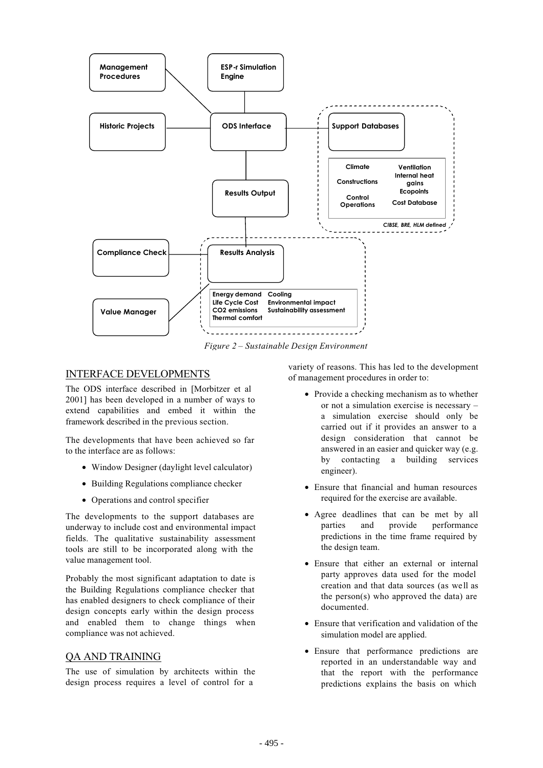

*Figure 2 – Sustainable Design Environment*

## INTERFACE DEVELOPMENTS

The ODS interface described in [Morbitzer et al 2001] has been developed in a number of ways to extend capabilities and embed it within the framework described in the previous section.

The developments that have been achieved so far to the interface are as follows:

- Window Designer (daylight level calculator)
- Building Regulations compliance checker
- Operations and control specifier

The developments to the support databases are underway to include cost and environmental impact fields. The qualitative sustainability assessment tools are still to be incorporated along with the value management tool.

Probably the most significant adaptation to date is the Building Regulations compliance checker that has enabled designers to check compliance of their design concepts early within the design process and enabled them to change things when compliance was not achieved.

### QA AND TRAINING

The use of simulation by architects within the design process requires a level of control for a

variety of reasons. This has led to the development of management procedures in order to:

- Provide a checking mechanism as to whether or not a simulation exercise is necessary – a simulation exercise should only be carried out if it provides an answer to a design consideration that cannot be answered in an easier and quicker way (e.g. by contacting a building services engineer).
- Ensure that financial and human resources required for the exercise are available.
- Agree deadlines that can be met by all parties and provide performance predictions in the time frame required by the design team.
- Ensure that either an external or internal party approves data used for the model creation and that data sources (as well as the person(s) who approved the data) are documented.
- Ensure that verification and validation of the simulation model are applied.
- Ensure that performance predictions are reported in an understandable way and that the report with the performance predictions explains the basis on which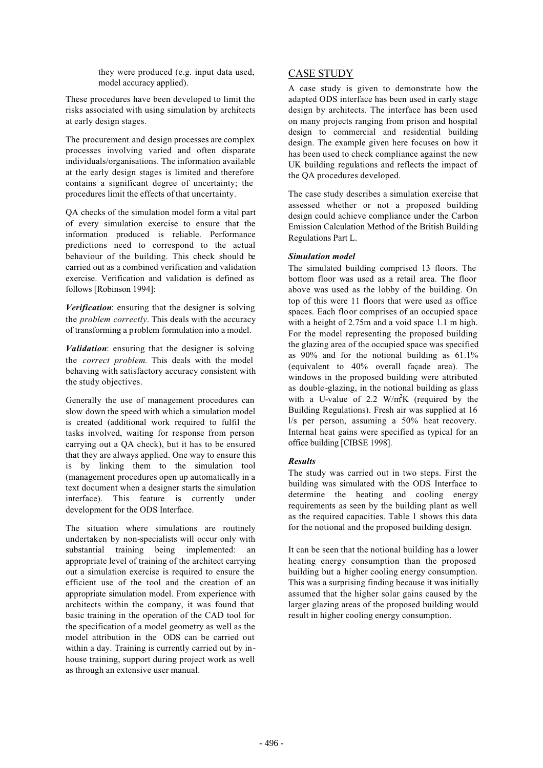they were produced (e.g. input data used, model accuracy applied).

These procedures have been developed to limit the risks associated with using simulation by architects at early design stages.

The procurement and design processes are complex processes involving varied and often disparate individuals/organisations. The information available at the early design stages is limited and therefore contains a significant degree of uncertainty; the procedures limit the effects of that uncertainty.

QA checks of the simulation model form a vital part of every simulation exercise to ensure that the information produced is reliable. Performance predictions need to correspond to the actual behaviour of the building. This check should be carried out as a combined verification and validation exercise. Verification and validation is defined as follows [Robinson 1994]:

*Verification*: ensuring that the designer is solving the *problem correctly*. This deals with the accuracy of transforming a problem formulation into a model.

*Validation*: ensuring that the designer is solving the *correct problem*. This deals with the model behaving with satisfactory accuracy consistent with the study objectives.

Generally the use of management procedures can slow down the speed with which a simulation model is created (additional work required to fulfil the tasks involved, waiting for response from person carrying out a QA check), but it has to be ensured that they are always applied. One way to ensure this is by linking them to the simulation tool (management procedures open up automatically in a text document when a designer starts the simulation interface). This feature is currently under development for the ODS Interface.

The situation where simulations are routinely undertaken by non-specialists will occur only with substantial training being implemented: an appropriate level of training of the architect carrying out a simulation exercise is required to ensure the efficient use of the tool and the creation of an appropriate simulation model. From experience with architects within the company, it was found that basic training in the operation of the CAD tool for the specification of a model geometry as well as the model attribution in the ODS can be carried out within a day. Training is currently carried out by inhouse training, support during project work as well as through an extensive user manual.

## CASE STUDY

A case study is given to demonstrate how the adapted ODS interface has been used in early stage design by architects. The interface has been used on many projects ranging from prison and hospital design to commercial and residential building design. The example given here focuses on how it has been used to check compliance against the new UK building regulations and reflects the impact of the QA procedures developed.

The case study describes a simulation exercise that assessed whether or not a proposed building design could achieve compliance under the Carbon Emission Calculation Method of the British Building Regulations Part L.

#### *Simulation model*

The simulated building comprised 13 floors. The bottom floor was used as a retail area. The floor above was used as the lobby of the building. On top of this were 11 floors that were used as office spaces. Each floor comprises of an occupied space with a height of 2.75m and a void space 1.1 m high. For the model representing the proposed building the glazing area of the occupied space was specified as 90% and for the notional building as 61.1% (equivalent to 40% overall façade area). The windows in the proposed building were attributed as double-glazing, in the notional building as glass with a U-value of 2.2  $W/m^2K$  (required by the Building Regulations). Fresh air was supplied at 16 l/s per person, assuming a 50% heat recovery. Internal heat gains were specified as typical for an office building [CIBSE 1998].

#### *Results*

The study was carried out in two steps. First the building was simulated with the ODS Interface to determine the heating and cooling energy requirements as seen by the building plant as well as the required capacities. Table 1 shows this data for the notional and the proposed building design.

It can be seen that the notional building has a lower heating energy consumption than the proposed building but a higher cooling energy consumption. This was a surprising finding because it was initially assumed that the higher solar gains caused by the larger glazing areas of the proposed building would result in higher cooling energy consumption.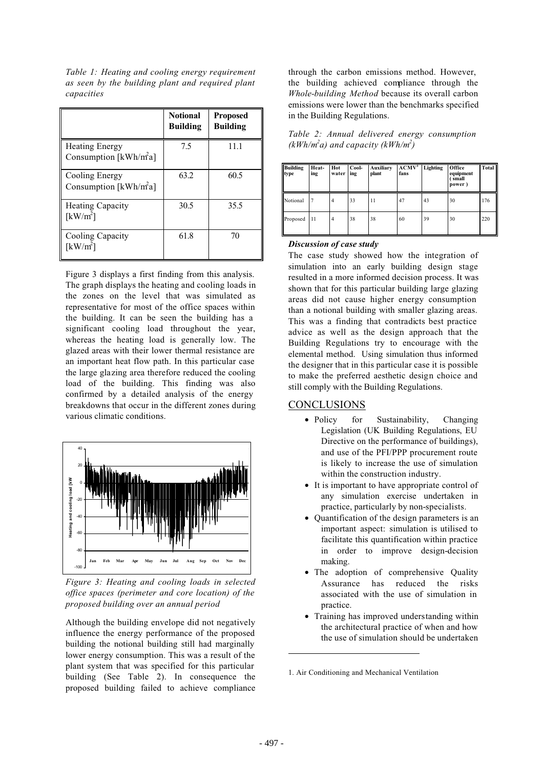*Table 1: Heating and cooling energy requirement as seen by the building plant and required plant capacities*

|                                                            | <b>Notional</b><br><b>Building</b> | <b>Proposed</b><br><b>Building</b> |
|------------------------------------------------------------|------------------------------------|------------------------------------|
| <b>Heating Energy</b><br>Consumption [ $kWh/m2a$ ]         | 7.5                                | 11.1                               |
| Cooling Energy<br>Consumption [kWh/m <sup>2</sup> a]       | 63.2                               | 60.5                               |
| <b>Heating Capacity</b><br>$\lceil \mathrm{kW/m}^2 \rceil$ | 30.5                               | 35.5                               |
| Cooling Capacity<br>$\lceil \mathrm{kW/m}^2 \rceil$        | 61.8                               | 70                                 |

Figure 3 displays a first finding from this analysis. The graph displays the heating and cooling loads in the zones on the level that was simulated as representative for most of the office spaces within the building. It can be seen the building has a significant cooling load throughout the year, whereas the heating load is generally low. The glazed areas with their lower thermal resistance are an important heat flow path. In this particular case the large glazing area therefore reduced the cooling load of the building. This finding was also confirmed by a detailed analysis of the energy breakdowns that occur in the different zones during various climatic conditions.



*Figure 3: Heating and cooling loads in selected office spaces (perimeter and core location) of the proposed building over an annual period*

Although the building envelope did not negatively influence the energy performance of the proposed building the notional building still had marginally lower energy consumption. This was a result of the plant system that was specified for this particular building (See Table 2). In consequence the proposed building failed to achieve compliance through the carbon emissions method. However, the building achieved compliance through the *Whole-building Method* because its overall carbon emissions were lower than the benchmarks specified in the Building Regulations.

|  |                                       | Table 2: Annual delivered energy consumption |
|--|---------------------------------------|----------------------------------------------|
|  | $(kWh/m^2a)$ and capacity $(kWh/m^2)$ |                                              |

| <b>Building</b><br>type | Heat-<br>ing | Hot<br>water   | Cool-<br>ing | Auxiliary<br>plant | ACMV <sup>1</sup><br>fans | Lighting | Office<br>equipment<br>small<br>power) | Total |
|-------------------------|--------------|----------------|--------------|--------------------|---------------------------|----------|----------------------------------------|-------|
| Notional                |              | $\overline{4}$ | 33           | 11                 | 47                        | 43       | 30                                     | 176   |
| Proposed                | 11           | $\overline{4}$ | 38           | 38                 | 60                        | 39       | 30                                     | 220   |

#### *Discussion of case study*

The case study showed how the integration of simulation into an early building design stage resulted in a more informed decision process. It was shown that for this particular building large glazing areas did not cause higher energy consumption than a notional building with smaller glazing areas. This was a finding that contradicts best practice advice as well as the design approach that the Building Regulations try to encourage with the elemental method. Using simulation thus informed the designer that in this particular case it is possible to make the preferred aesthetic design choice and still comply with the Building Regulations.

### **CONCLUSIONS**

- Policy for Sustainability, Changing Legislation (UK Building Regulations, EU Directive on the performance of buildings), and use of the PFI/PPP procurement route is likely to increase the use of simulation within the construction industry.
- It is important to have appropriate control of any simulation exercise undertaken in practice, particularly by non-specialists.
- Quantification of the design parameters is an important aspect: simulation is utilised to facilitate this quantification within practice in order to improve design-decision making.
- The adoption of comprehensive Quality Assurance has reduced the risks associated with the use of simulation in practice.
- Training has improved understanding within the architectural practice of when and how the use of simulation should be undertaken

<sup>1.</sup> Air Conditioning and Mechanical Ventilation